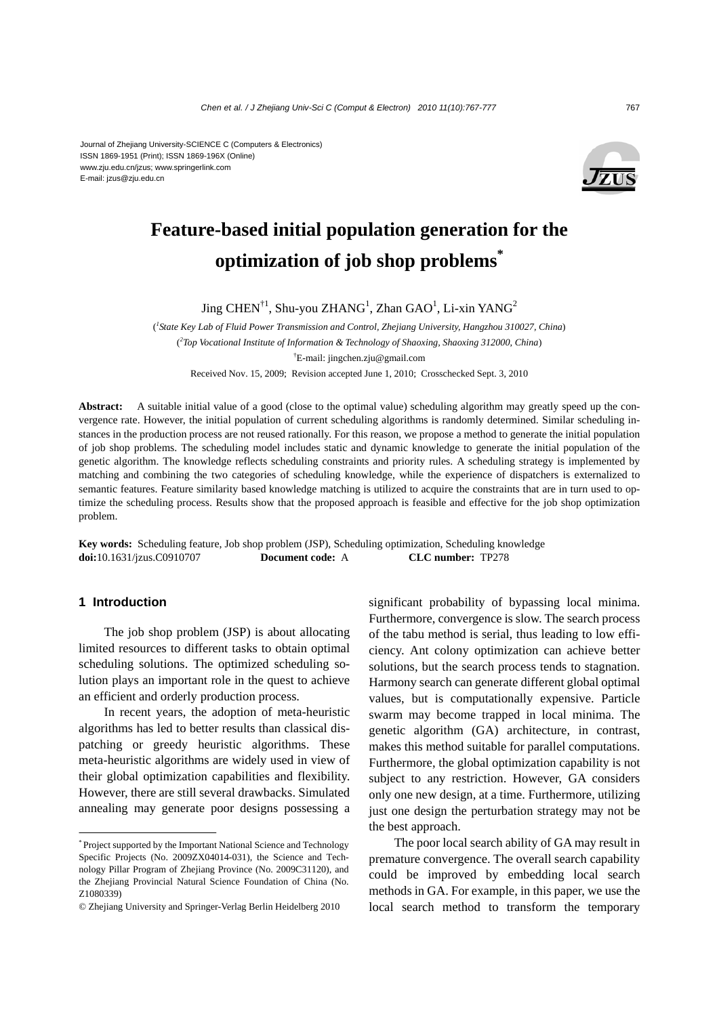#### Journal of Zhejiang University-SCIENCE C (Computers & Electronics) ISSN 1869-1951 (Print); ISSN 1869-196X (Online) www.zju.edu.cn/jzus; www.springerlink.com E-mail: jzus@zju.edu.cn



# **Feature-based initial population generation for the optimization of job shop problems\***

 $\text{Jing } \text{CHEN}^{\dagger1}$ , Shu-you ZHANG<sup>1</sup>, Zhan GAO<sup>1</sup>, Li-xin YANG<sup>2</sup>

( *1 State Key Lab of Fluid Power Transmission and Control, Zhejiang University, Hangzhou 310027, China*) ( *2 Top Vocational Institute of Information & Technology of Shaoxing, Shaoxing 312000, China*) † E-mail: jingchen.zju@gmail.com Received Nov. 15, 2009; Revision accepted June 1, 2010; Crosschecked Sept. 3, 2010

**Abstract:** A suitable initial value of a good (close to the optimal value) scheduling algorithm may greatly speed up the convergence rate. However, the initial population of current scheduling algorithms is randomly determined. Similar scheduling instances in the production process are not reused rationally. For this reason, we propose a method to generate the initial population of job shop problems. The scheduling model includes static and dynamic knowledge to generate the initial population of the genetic algorithm. The knowledge reflects scheduling constraints and priority rules. A scheduling strategy is implemented by matching and combining the two categories of scheduling knowledge, while the experience of dispatchers is externalized to semantic features. Feature similarity based knowledge matching is utilized to acquire the constraints that are in turn used to optimize the scheduling process. Results show that the proposed approach is feasible and effective for the job shop optimization problem.

**Key words:** Scheduling feature, Job shop problem (JSP), Scheduling optimization, Scheduling knowledge **doi:**10.1631/jzus.C0910707 **Document code:** A **CLC number:** TP278

# **1 Introduction**

The job shop problem (JSP) is about allocating limited resources to different tasks to obtain optimal scheduling solutions. The optimized scheduling solution plays an important role in the quest to achieve an efficient and orderly production process.

In recent years, the adoption of meta-heuristic algorithms has led to better results than classical dispatching or greedy heuristic algorithms. These meta-heuristic algorithms are widely used in view of their global optimization capabilities and flexibility. However, there are still several drawbacks. Simulated annealing may generate poor designs possessing a significant probability of bypassing local minima. Furthermore, convergence is slow. The search process of the tabu method is serial, thus leading to low efficiency. Ant colony optimization can achieve better solutions, but the search process tends to stagnation. Harmony search can generate different global optimal values, but is computationally expensive. Particle swarm may become trapped in local minima. The genetic algorithm (GA) architecture, in contrast, makes this method suitable for parallel computations. Furthermore, the global optimization capability is not subject to any restriction. However, GA considers only one new design, at a time. Furthermore, utilizing just one design the perturbation strategy may not be the best approach.

The poor local search ability of GA may result in premature convergence. The overall search capability could be improved by embedding local search methods in GA. For example, in this paper, we use the local search method to transform the temporary

<sup>\*</sup> Project supported by the Important National Science and Technology Specific Projects (No. 2009ZX04014-031), the Science and Technology Pillar Program of Zhejiang Province (No. 2009C31120), and the Zhejiang Provincial Natural Science Foundation of China (No. Z1080339)

<sup>©</sup> Zhejiang University and Springer-Verlag Berlin Heidelberg 2010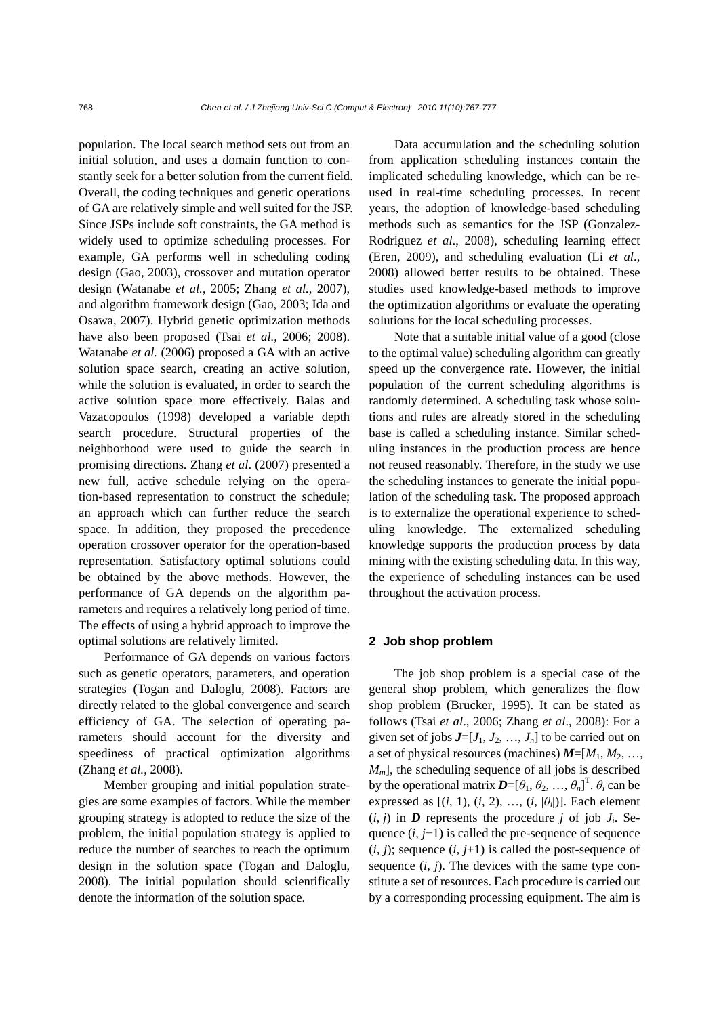population. The local search method sets out from an initial solution, and uses a domain function to constantly seek for a better solution from the current field. Overall, the coding techniques and genetic operations of GA are relatively simple and well suited for the JSP. Since JSPs include soft constraints, the GA method is widely used to optimize scheduling processes. For example, GA performs well in scheduling coding design (Gao, 2003), crossover and mutation operator design (Watanabe *et al.*, 2005; Zhang *et al.*, 2007), and algorithm framework design (Gao, 2003; Ida and Osawa, 2007). Hybrid genetic optimization methods have also been proposed (Tsai *et al.*, 2006; 2008). Watanabe *et al.* (2006) proposed a GA with an active solution space search, creating an active solution, while the solution is evaluated, in order to search the active solution space more effectively. Balas and Vazacopoulos (1998) developed a variable depth search procedure. Structural properties of the neighborhood were used to guide the search in promising directions. Zhang *et al*. (2007) presented a new full, active schedule relying on the operation-based representation to construct the schedule; an approach which can further reduce the search space. In addition, they proposed the precedence operation crossover operator for the operation-based representation. Satisfactory optimal solutions could be obtained by the above methods. However, the performance of GA depends on the algorithm parameters and requires a relatively long period of time. The effects of using a hybrid approach to improve the optimal solutions are relatively limited.

Performance of GA depends on various factors such as genetic operators, parameters, and operation strategies (Togan and Daloglu, 2008). Factors are directly related to the global convergence and search efficiency of GA. The selection of operating parameters should account for the diversity and speediness of practical optimization algorithms (Zhang *et al.*, 2008).

Member grouping and initial population strategies are some examples of factors. While the member grouping strategy is adopted to reduce the size of the problem, the initial population strategy is applied to reduce the number of searches to reach the optimum design in the solution space (Togan and Daloglu, 2008). The initial population should scientifically denote the information of the solution space.

Data accumulation and the scheduling solution from application scheduling instances contain the implicated scheduling knowledge, which can be reused in real-time scheduling processes. In recent years, the adoption of knowledge-based scheduling methods such as semantics for the JSP (Gonzalez-Rodriguez *et al*., 2008), scheduling learning effect (Eren, 2009), and scheduling evaluation (Li *et al*., 2008) allowed better results to be obtained. These studies used knowledge-based methods to improve the optimization algorithms or evaluate the operating solutions for the local scheduling processes.

Note that a suitable initial value of a good (close to the optimal value) scheduling algorithm can greatly speed up the convergence rate. However, the initial population of the current scheduling algorithms is randomly determined. A scheduling task whose solutions and rules are already stored in the scheduling base is called a scheduling instance. Similar scheduling instances in the production process are hence not reused reasonably. Therefore, in the study we use the scheduling instances to generate the initial population of the scheduling task. The proposed approach is to externalize the operational experience to scheduling knowledge. The externalized scheduling knowledge supports the production process by data mining with the existing scheduling data. In this way, the experience of scheduling instances can be used throughout the activation process.

# **2 Job shop problem**

The job shop problem is a special case of the general shop problem, which generalizes the flow shop problem (Brucker, 1995). It can be stated as follows (Tsai *et al*., 2006; Zhang *et al*., 2008): For a given set of jobs  $J=[J_1, J_2, ..., J_n]$  to be carried out on a set of physical resources (machines)  $M=[M_1, M_2, \ldots,$  $M_m$ ], the scheduling sequence of all jobs is described by the operational matrix  $D=[\theta_1, \theta_2, ..., \theta_n]^T$ .  $\theta_i$  can be expressed as  $[(i, 1), (i, 2), ..., (i, |\theta_i|)]$ . Each element  $(i, j)$  in *D* represents the procedure *j* of job  $J_i$ . Sequence (*i*, *j*−1) is called the pre-sequence of sequence  $(i, j)$ ; sequence  $(i, j+1)$  is called the post-sequence of sequence  $(i, j)$ . The devices with the same type constitute a set of resources. Each procedure is carried out by a corresponding processing equipment. The aim is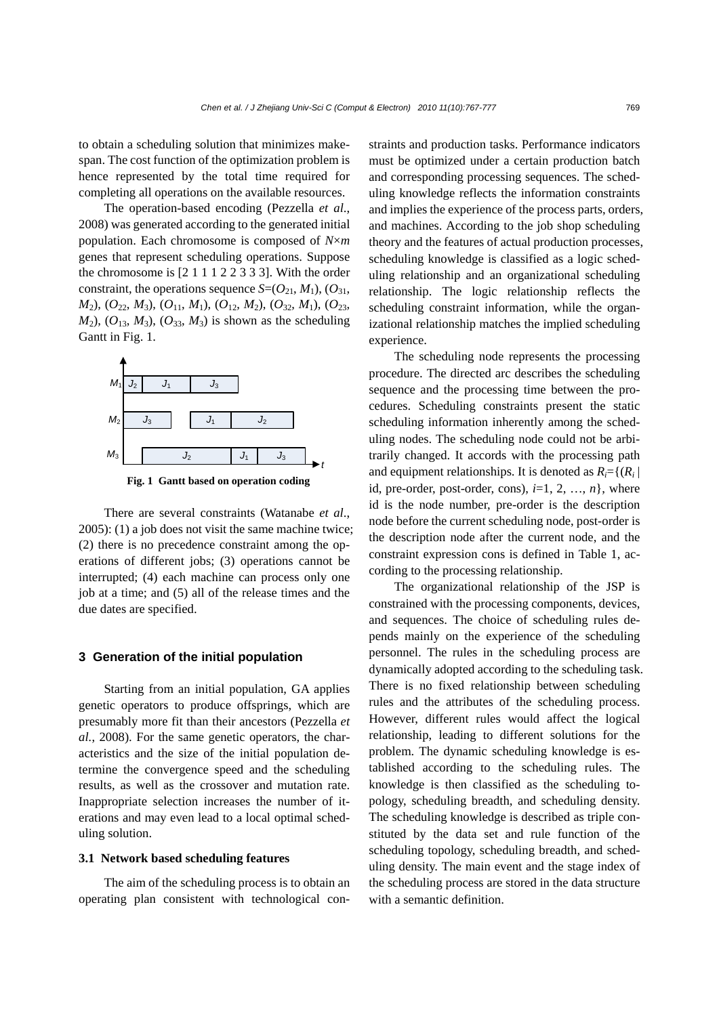to obtain a scheduling solution that minimizes makespan. The cost function of the optimization problem is hence represented by the total time required for completing all operations on the available resources.

The operation-based encoding (Pezzella *et al*., 2008) was generated according to the generated initial population. Each chromosome is composed of *N*×*m* genes that represent scheduling operations. Suppose the chromosome is [2 1 1 1 2 2 3 3 3]. With the order constraint, the operations sequence  $S=(O_{21}, M_1), (O_{31},$ *M*2), (*O*22, *M*3), (*O*11, *M*1), (*O*12, *M*2), (*O*32, *M*1), (*O*23,  $M_2$ ),  $(O_{13}, M_3)$ ,  $(O_{33}, M_3)$  is shown as the scheduling Gantt in Fig. 1.





There are several constraints (Watanabe *et al*., 2005): (1) a job does not visit the same machine twice; (2) there is no precedence constraint among the operations of different jobs; (3) operations cannot be interrupted; (4) each machine can process only one job at a time; and (5) all of the release times and the due dates are specified.

# **3 Generation of the initial population**

Starting from an initial population, GA applies genetic operators to produce offsprings, which are presumably more fit than their ancestors (Pezzella *et al.*, 2008). For the same genetic operators, the characteristics and the size of the initial population determine the convergence speed and the scheduling results, as well as the crossover and mutation rate. Inappropriate selection increases the number of iterations and may even lead to a local optimal scheduling solution.

### **3.1 Network based scheduling features**

The aim of the scheduling process is to obtain an operating plan consistent with technological constraints and production tasks. Performance indicators must be optimized under a certain production batch and corresponding processing sequences. The scheduling knowledge reflects the information constraints and implies the experience of the process parts, orders, and machines. According to the job shop scheduling theory and the features of actual production processes, scheduling knowledge is classified as a logic scheduling relationship and an organizational scheduling relationship. The logic relationship reflects the scheduling constraint information, while the organizational relationship matches the implied scheduling experience.

The scheduling node represents the processing procedure. The directed arc describes the scheduling sequence and the processing time between the procedures. Scheduling constraints present the static scheduling information inherently among the scheduling nodes. The scheduling node could not be arbitrarily changed. It accords with the processing path and equipment relationships. It is denoted as  $R_i = \{(R_i) | i \in \mathbb{N}\}$ id, pre-order, post-order, cons),  $i=1, 2, ..., n$ , where id is the node number, pre-order is the description node before the current scheduling node, post-order is the description node after the current node, and the constraint expression cons is defined in Table 1, according to the processing relationship.

The organizational relationship of the JSP is constrained with the processing components, devices, and sequences. The choice of scheduling rules depends mainly on the experience of the scheduling personnel. The rules in the scheduling process are dynamically adopted according to the scheduling task. There is no fixed relationship between scheduling rules and the attributes of the scheduling process. However, different rules would affect the logical relationship, leading to different solutions for the problem. The dynamic scheduling knowledge is established according to the scheduling rules. The knowledge is then classified as the scheduling topology, scheduling breadth, and scheduling density. The scheduling knowledge is described as triple constituted by the data set and rule function of the scheduling topology, scheduling breadth, and scheduling density. The main event and the stage index of the scheduling process are stored in the data structure with a semantic definition.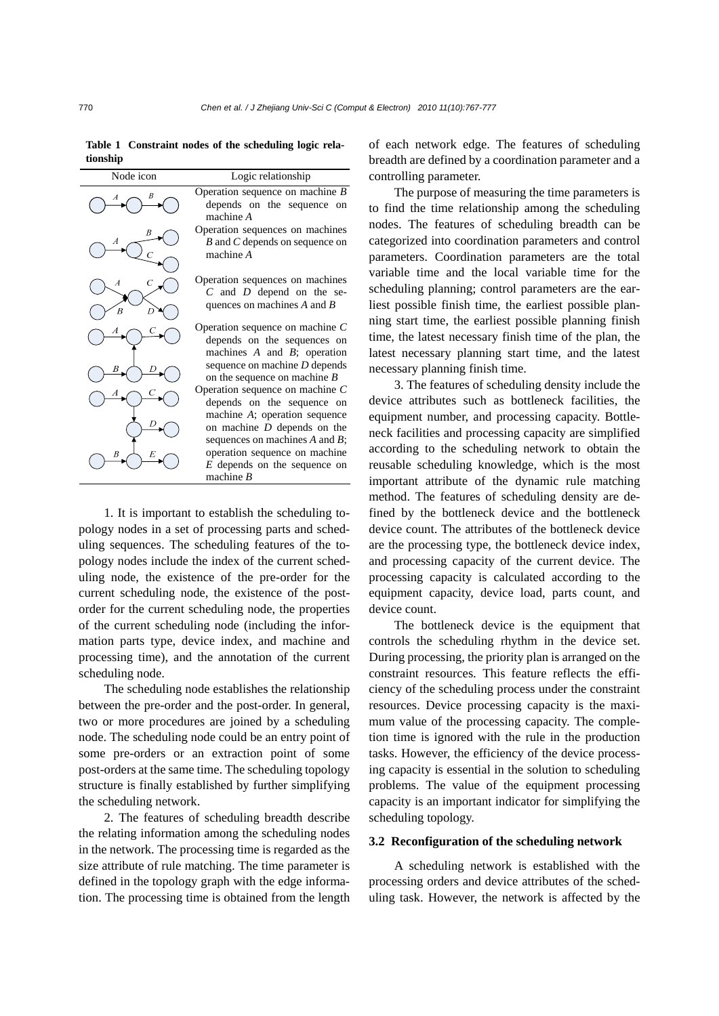**Table 1 Constraint nodes of the scheduling logic relationship** 

| Node icon | Logic relationship                                                                                    |  |  |  |
|-----------|-------------------------------------------------------------------------------------------------------|--|--|--|
| Β         | Operation sequence on machine $B$<br>depends on the sequence<br>on<br>machine $A$                     |  |  |  |
|           | Operation sequences on machines<br>B and C depends on sequence on<br>machine A                        |  |  |  |
| A         | Operation sequences on machines<br>$C$ and $D$ depend on the se-<br>quences on machines $A$ and $B$   |  |  |  |
|           | Operation sequence on machine $C$<br>depends on the sequences on<br>machines $A$ and $B$ ; operation  |  |  |  |
|           | sequence on machine D depends<br>on the sequence on machine $B$                                       |  |  |  |
|           | Operation sequence on machine $C$<br>depends on the sequence on                                       |  |  |  |
|           | machine A; operation sequence<br>on machine $D$ depends on the<br>sequences on machines $A$ and $B$ ; |  |  |  |
| В         | operation sequence on machine<br>$E$ depends on the sequence on<br>machine $B$                        |  |  |  |

1. It is important to establish the scheduling topology nodes in a set of processing parts and scheduling sequences. The scheduling features of the topology nodes include the index of the current scheduling node, the existence of the pre-order for the current scheduling node, the existence of the postorder for the current scheduling node, the properties of the current scheduling node (including the information parts type, device index, and machine and processing time), and the annotation of the current scheduling node.

The scheduling node establishes the relationship between the pre-order and the post-order. In general, two or more procedures are joined by a scheduling node. The scheduling node could be an entry point of some pre-orders or an extraction point of some post-orders at the same time. The scheduling topology structure is finally established by further simplifying the scheduling network.

2. The features of scheduling breadth describe the relating information among the scheduling nodes in the network. The processing time is regarded as the size attribute of rule matching. The time parameter is defined in the topology graph with the edge information. The processing time is obtained from the length of each network edge. The features of scheduling breadth are defined by a coordination parameter and a controlling parameter.

The purpose of measuring the time parameters is to find the time relationship among the scheduling nodes. The features of scheduling breadth can be categorized into coordination parameters and control parameters. Coordination parameters are the total variable time and the local variable time for the scheduling planning; control parameters are the earliest possible finish time, the earliest possible planning start time, the earliest possible planning finish time, the latest necessary finish time of the plan, the latest necessary planning start time, and the latest necessary planning finish time.

3. The features of scheduling density include the device attributes such as bottleneck facilities, the equipment number, and processing capacity. Bottleneck facilities and processing capacity are simplified according to the scheduling network to obtain the reusable scheduling knowledge, which is the most important attribute of the dynamic rule matching method. The features of scheduling density are defined by the bottleneck device and the bottleneck device count. The attributes of the bottleneck device are the processing type, the bottleneck device index, and processing capacity of the current device. The processing capacity is calculated according to the equipment capacity, device load, parts count, and device count.

The bottleneck device is the equipment that controls the scheduling rhythm in the device set. During processing, the priority plan is arranged on the constraint resources. This feature reflects the efficiency of the scheduling process under the constraint resources. Device processing capacity is the maximum value of the processing capacity. The completion time is ignored with the rule in the production tasks. However, the efficiency of the device processing capacity is essential in the solution to scheduling problems. The value of the equipment processing capacity is an important indicator for simplifying the scheduling topology.

#### **3.2 Reconfiguration of the scheduling network**

A scheduling network is established with the processing orders and device attributes of the scheduling task. However, the network is affected by the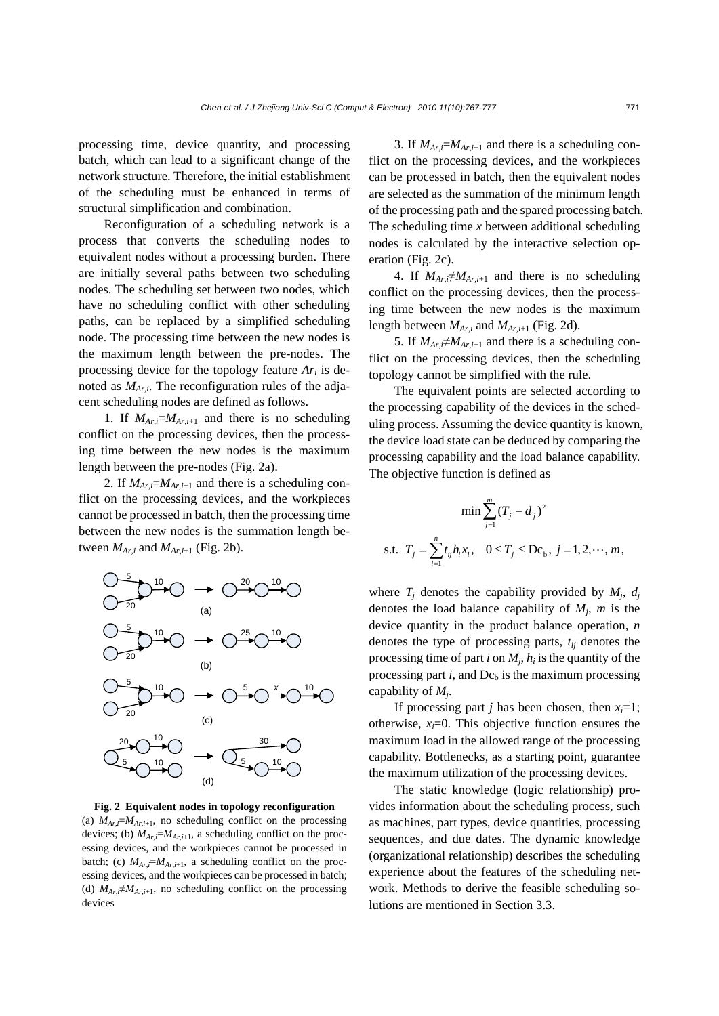processing time, device quantity, and processing batch, which can lead to a significant change of the network structure. Therefore, the initial establishment of the scheduling must be enhanced in terms of structural simplification and combination.

Reconfiguration of a scheduling network is a process that converts the scheduling nodes to equivalent nodes without a processing burden. There are initially several paths between two scheduling nodes. The scheduling set between two nodes, which have no scheduling conflict with other scheduling paths, can be replaced by a simplified scheduling node. The processing time between the new nodes is the maximum length between the pre-nodes. The processing device for the topology feature *Ari* is denoted as *MAr*,*i*. The reconfiguration rules of the adjacent scheduling nodes are defined as follows.

1. If  $M_{Ar,i} = M_{Ar,i+1}$  and there is no scheduling conflict on the processing devices, then the processing time between the new nodes is the maximum length between the pre-nodes (Fig. 2a).

2. If  $M_{Ar} = M_{Ar}$ , and there is a scheduling conflict on the processing devices, and the workpieces cannot be processed in batch, then the processing time between the new nodes is the summation length between  $M_{Ar,i}$  and  $M_{Ar,i+1}$  (Fig. 2b).



**Fig. 2 Equivalent nodes in topology reconfiguration**  (a)  $M_{Ar,i} = M_{Ar,i+1}$ , no scheduling conflict on the processing devices; (b)  $M_{Ar,i} = M_{Ar,i+1}$ , a scheduling conflict on the processing devices, and the workpieces cannot be processed in batch; (c)  $M_{Ar,i} = M_{Ar,i+1}$ , a scheduling conflict on the processing devices, and the workpieces can be processed in batch; (d)  $M_{Ar,i} \neq M_{Ar,i+1}$ , no scheduling conflict on the processing devices

3. If  $M_{Ar,i} = M_{Ar,i+1}$  and there is a scheduling conflict on the processing devices, and the workpieces can be processed in batch, then the equivalent nodes are selected as the summation of the minimum length of the processing path and the spared processing batch. The scheduling time *x* between additional scheduling nodes is calculated by the interactive selection operation (Fig. 2c).

4. If  $M_{Ar,i} \neq M_{Ar,i+1}$  and there is no scheduling conflict on the processing devices, then the processing time between the new nodes is the maximum length between  $M_{Ar,i}$  and  $M_{Ar,i+1}$  (Fig. 2d).

5. If  $M_{Ar,i} \neq M_{Ar,i+1}$  and there is a scheduling conflict on the processing devices, then the scheduling topology cannot be simplified with the rule.

The equivalent points are selected according to the processing capability of the devices in the scheduling process. Assuming the device quantity is known, the device load state can be deduced by comparing the processing capability and the load balance capability. The objective function is defined as

$$
\min \sum_{j=1}^{m} (T_j - d_j)^2
$$
  
s.t.  $T_j = \sum_{i=1}^{n} t_{ij} h_i x_i$ ,  $0 \le T_j \le Dc_b$ ,  $j = 1, 2, \dots, m$ ,

where  $T_i$  denotes the capability provided by  $M_i$ ,  $d_i$ denotes the load balance capability of  $M_i$ ,  $m$  is the device quantity in the product balance operation, *n* denotes the type of processing parts, *tij* denotes the processing time of part *i* on  $M_i$ ,  $h_i$  is the quantity of the processing part  $i$ , and  $Dc<sub>b</sub>$  is the maximum processing capability of *Mj*.

otherwise,  $x_i=0$ . This objective function ensures the If processing part *j* has been chosen, then  $x_i=1$ ; maximum load in the allowed range of the processing capability. Bottlenecks, as a starting point, guarantee the maximum utilization of the processing devices.

The static knowledge (logic relationship) provides information about the scheduling process, such as machines, part types, device quantities, processing sequences, and due dates. The dynamic knowledge (organizational relationship) describes the scheduling experience about the features of the scheduling network. Methods to derive the feasible scheduling solutions are mentioned in Section 3.3.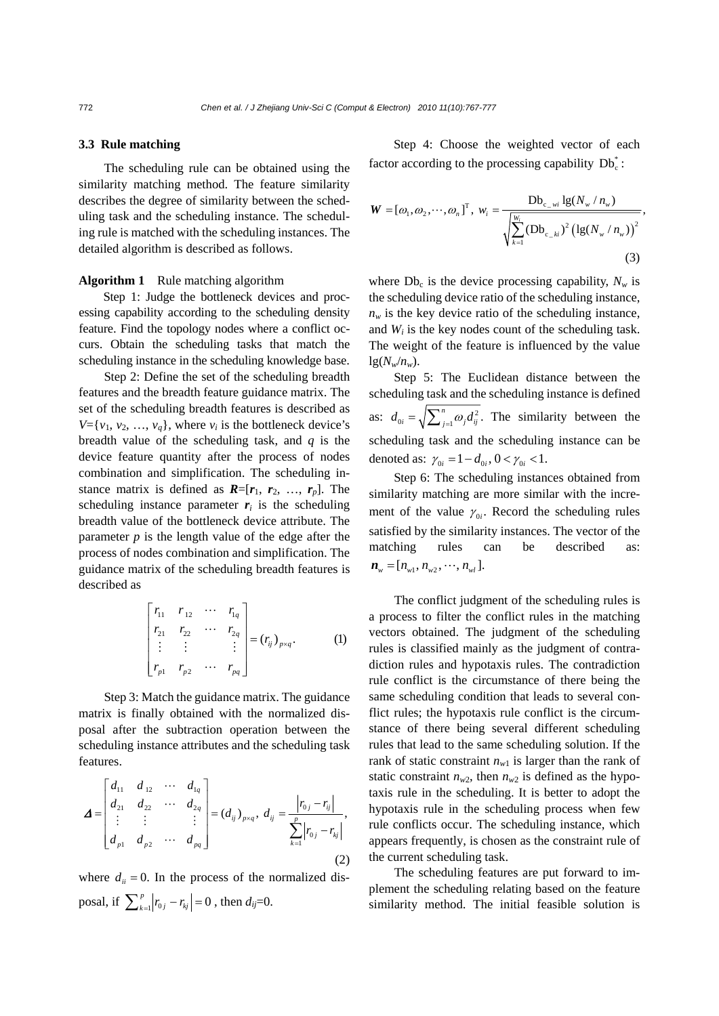#### **3.3 Rule matching**

The scheduling rule can be obtained using the similarity matching method. The feature similarity describes the degree of similarity between the scheduling task and the scheduling instance. The scheduling rule is matched with the scheduling instances. The detailed algorithm is described as follows.

#### **Algorithm 1** Rule matching algorithm

Step 1: Judge the bottleneck devices and processing capability according to the scheduling density feature. Find the topology nodes where a conflict occurs. Obtain the scheduling tasks that match the scheduling instance in the scheduling knowledge base.

Step 2: Define the set of the scheduling breadth features and the breadth feature guidance matrix. The set of the scheduling breadth features is described as  $V = \{v_1, v_2, \ldots, v_q\}$ , where  $v_i$  is the bottleneck device's breadth value of the scheduling task, and *q* is the device feature quantity after the process of nodes combination and simplification. The scheduling instance matrix is defined as  $R=[r_1, r_2, ..., r_p]$ . The scheduling instance parameter  $r_i$  is the scheduling breadth value of the bottleneck device attribute. The parameter  $p$  is the length value of the edge after the process of nodes combination and simplification. The guidance matrix of the scheduling breadth features is described as

$$
\begin{bmatrix} r_{11} & r_{12} & \cdots & r_{1q} \\ r_{21} & r_{22} & \cdots & r_{2q} \\ \vdots & \vdots & & \vdots \\ r_{p1} & r_{p2} & \cdots & r_{pq} \end{bmatrix} = (r_{ij})_{p \times q}.
$$
 (1)

Step 3: Match the guidance matrix. The guidance matrix is finally obtained with the normalized disposal after the subtraction operation between the scheduling instance attributes and the scheduling task features.

$$
\mathbf{\Delta} = \begin{bmatrix} d_{11} & d_{12} & \cdots & d_{1q} \\ d_{21} & d_{22} & \cdots & d_{2q} \\ \vdots & \vdots & & \vdots \\ d_{p1} & d_{p2} & \cdots & d_{pq} \end{bmatrix} = (d_{ij})_{p \times q}, \ d_{ij} = \frac{|r_{0j} - r_{ij}|}{\sum_{k=1}^{p} |r_{0j} - r_{kj}|},\tag{2}
$$

where  $d_{ii} = 0$ . In the process of the normalized disposal, if  $\sum_{k=1}^{p} |r_{0j} - r_{kj}| = 0$ , then  $d_{ij}=0$ .

Step 4: Choose the weighted vector of each factor according to the processing capability  $Db_c^*$ :

$$
\mathbf{W} = [\omega_1, \omega_2, \cdots, \omega_n]^{\mathrm{T}}, \ w_i = \frac{\mathrm{Db}_{c_{-wi}} \lg(N_w / n_w)}{\sqrt{\sum_{k=1}^{W_i} (\mathrm{Db}_{c_{-ki}})^2 (\lg(N_w / n_w))^2}},
$$
(3)

where  $Db<sub>c</sub>$  is the device processing capability,  $N<sub>w</sub>$  is the scheduling device ratio of the scheduling instance,  $n_w$  is the key device ratio of the scheduling instance, and  $W_i$  is the key nodes count of the scheduling task. The weight of the feature is influenced by the value  $lg(N_w/n_w)$ .

Step 5: The Euclidean distance between the scheduling task and the scheduling instance is defined as:  $d_{0i} = \sqrt{\sum_{j=1}^{n} \omega_j d_{ij}^2}$ . The similarity between the scheduling task and the scheduling instance can be denoted as:  $\gamma_{0i} = 1 - d_{0i}$ ,  $0 < \gamma_{0i} < 1$ .

Step 6: The scheduling instances obtained from similarity matching are more similar with the increment of the value  $\gamma_{0i}$ . Record the scheduling rules satisfied by the similarity instances. The vector of the matching rules can be described as:  $n_w = [n_{w1}, n_{w2}, \cdots, n_{w1}]$ .

The conflict judgment of the scheduling rules is a process to filter the conflict rules in the matching vectors obtained. The judgment of the scheduling rules is classified mainly as the judgment of contradiction rules and hypotaxis rules. The contradiction rule conflict is the circumstance of there being the same scheduling condition that leads to several conflict rules; the hypotaxis rule conflict is the circumstance of there being several different scheduling rules that lead to the same scheduling solution. If the rank of static constraint  $n_{w1}$  is larger than the rank of static constraint  $n_{w2}$ , then  $n_{w2}$  is defined as the hypotaxis rule in the scheduling. It is better to adopt the hypotaxis rule in the scheduling process when few rule conflicts occur. The scheduling instance, which appears frequently, is chosen as the constraint rule of the current scheduling task.

The scheduling features are put forward to implement the scheduling relating based on the feature similarity method. The initial feasible solution is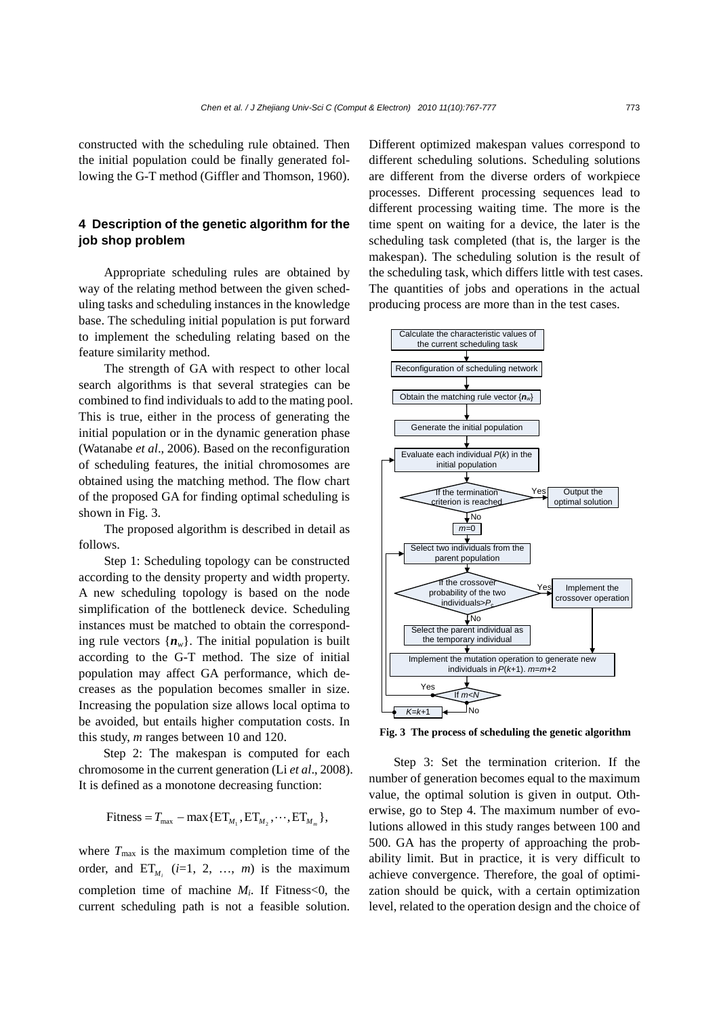constructed with the scheduling rule obtained. Then the initial population could be finally generated following the G-T method (Giffler and Thomson, 1960).

# **4 Description of the genetic algorithm for the job shop problem**

Appropriate scheduling rules are obtained by way of the relating method between the given scheduling tasks and scheduling instances in the knowledge base. The scheduling initial population is put forward to implement the scheduling relating based on the feature similarity method.

The strength of GA with respect to other local search algorithms is that several strategies can be combined to find individuals to add to the mating pool. This is true, either in the process of generating the initial population or in the dynamic generation phase (Watanabe *et al*., 2006). Based on the reconfiguration of scheduling features, the initial chromosomes are obtained using the matching method. The flow chart of the proposed GA for finding optimal scheduling is shown in Fig. 3.

The proposed algorithm is described in detail as follows.

Step 1: Scheduling topology can be constructed according to the density property and width property. A new scheduling topology is based on the node simplification of the bottleneck device. Scheduling instances must be matched to obtain the corresponding rule vectors  $\{n_w\}$ . The initial population is built according to the G-T method. The size of initial population may affect GA performance, which decreases as the population becomes smaller in size. Increasing the population size allows local optima to be avoided, but entails higher computation costs. In this study, *m* ranges between 10 and 120.

Step 2: The makespan is computed for each chromosome in the current generation (Li *et al*., 2008). It is defined as a monotone decreasing function:

$$
Fitness = T_{\text{max}} - \max\{ET_{M_1}, ET_{M_2}, \cdots, ET_{M_m}\},
$$

where  $T_{\text{max}}$  is the maximum completion time of the order, and  $ET_M$  (*i*=1, 2, ..., *m*) is the maximum completion time of machine *Mi*. If Fitness<0, the current scheduling path is not a feasible solution.

Different optimized makespan values correspond to different scheduling solutions. Scheduling solutions are different from the diverse orders of workpiece processes. Different processing sequences lead to different processing waiting time. The more is the time spent on waiting for a device, the later is the scheduling task completed (that is, the larger is the makespan). The scheduling solution is the result of the scheduling task, which differs little with test cases. The quantities of jobs and operations in the actual producing process are more than in the test cases.



**Fig. 3 The process of scheduling the genetic algorithm**

Step 3: Set the termination criterion. If the number of generation becomes equal to the maximum value, the optimal solution is given in output. Otherwise, go to Step 4. The maximum number of evolutions allowed in this study ranges between 100 and 500. GA has the property of approaching the probability limit. But in practice, it is very difficult to achieve convergence. Therefore, the goal of optimization should be quick, with a certain optimization level, related to the operation design and the choice of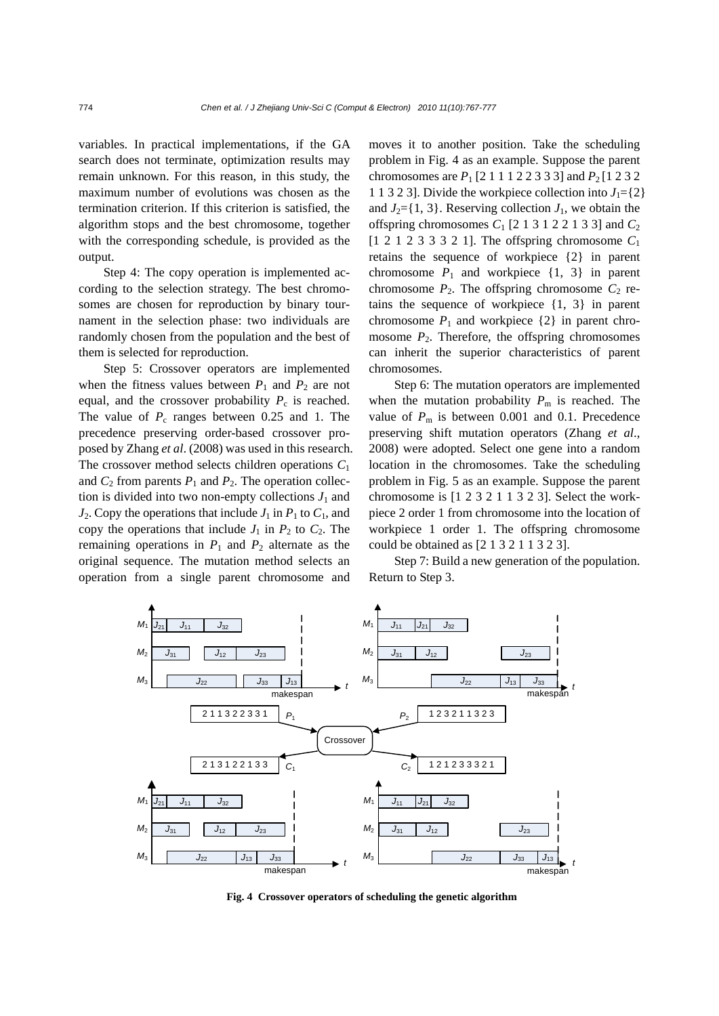variables. In practical implementations, if the GA search does not terminate, optimization results may remain unknown. For this reason, in this study, the maximum number of evolutions was chosen as the termination criterion. If this criterion is satisfied, the algorithm stops and the best chromosome, together with the corresponding schedule, is provided as the output.

Step 4: The copy operation is implemented according to the selection strategy. The best chromosomes are chosen for reproduction by binary tournament in the selection phase: two individuals are randomly chosen from the population and the best of them is selected for reproduction.

Step 5: Crossover operators are implemented when the fitness values between  $P_1$  and  $P_2$  are not equal, and the crossover probability  $P_c$  is reached. The value of  $P_c$  ranges between 0.25 and 1. The precedence preserving order-based crossover proposed by Zhang *et al*. (2008) was used in this research. The crossover method selects children operations  $C_1$ and  $C_2$  from parents  $P_1$  and  $P_2$ . The operation collection is divided into two non-empty collections  $J_1$  and  $J_2$ . Copy the operations that include  $J_1$  in  $P_1$  to  $C_1$ , and copy the operations that include  $J_1$  in  $P_2$  to  $C_2$ . The remaining operations in  $P_1$  and  $P_2$  alternate as the original sequence. The mutation method selects an operation from a single parent chromosome and

moves it to another position. Take the scheduling problem in Fig. 4 as an example. Suppose the parent chromosomes are *P*1 [2 1 1 1 2 2 3 3 3] and *P*2 [1 2 3 2 1 1 3 2 3]. Divide the workpiece collection into  $J_1 = \{2\}$ and  $J_2$ ={1, 3}. Reserving collection  $J_1$ , we obtain the offspring chromosomes  $C_1$  [2 1 3 1 2 2 1 3 3] and  $C_2$ [1 2 1 2 3 3 3 2 1]. The offspring chromosome *C*<sup>1</sup> retains the sequence of workpiece {2} in parent chromosome  $P_1$  and workpiece  $\{1, 3\}$  in parent chromosome  $P_2$ . The offspring chromosome  $C_2$  retains the sequence of workpiece {1, 3} in parent chromosome  $P_1$  and workpiece  $\{2\}$  in parent chromosome  $P_2$ . Therefore, the offspring chromosomes can inherit the superior characteristics of parent chromosomes.

Step 6: The mutation operators are implemented when the mutation probability  $P_m$  is reached. The value of  $P_m$  is between 0.001 and 0.1. Precedence preserving shift mutation operators (Zhang *et al*., 2008) were adopted. Select one gene into a random location in the chromosomes. Take the scheduling problem in Fig. 5 as an example. Suppose the parent chromosome is [1 2 3 2 1 1 3 2 3]. Select the workpiece 2 order 1 from chromosome into the location of workpiece 1 order 1. The offspring chromosome could be obtained as [2 1 3 2 1 1 3 2 3].

Step 7: Build a new generation of the population. Return to Step 3.



**Fig. 4 Crossover operators of scheduling the genetic algorithm**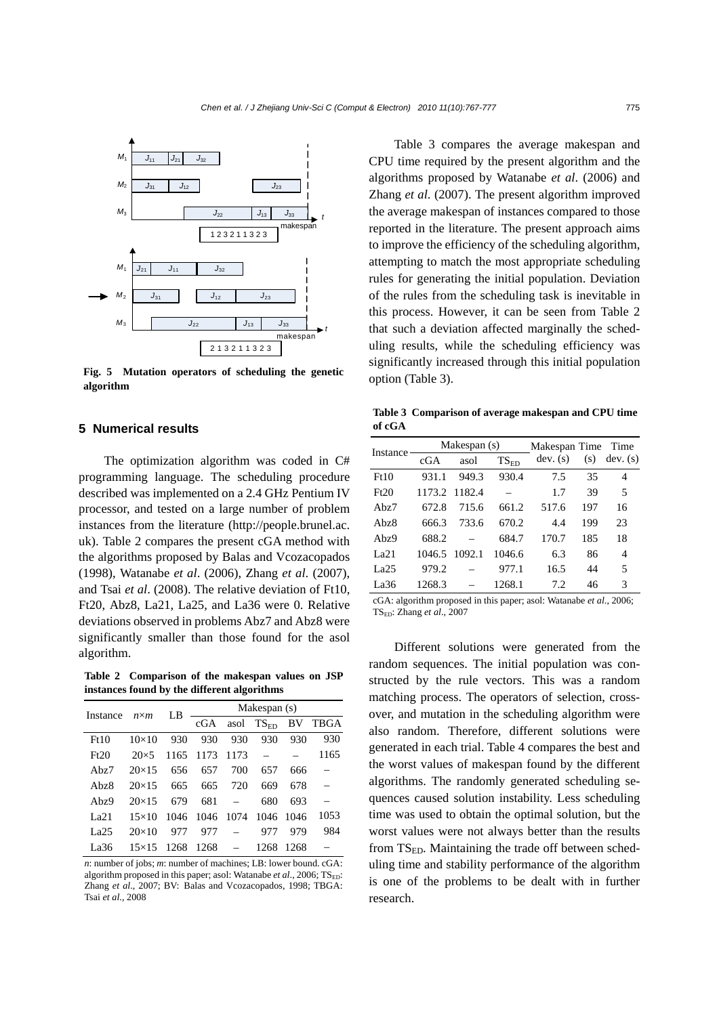

**Fig. 5 Mutation operators of scheduling the genetic algorithm** 

# **5 Numerical results**

The optimization algorithm was coded in C# programming language. The scheduling procedure described was implemented on a 2.4 GHz Pentium IV processor, and tested on a large number of problem instances from the literature (http://people.brunel.ac. uk). Table 2 compares the present cGA method with the algorithms proposed by Balas and Vcozacopados (1998), Watanabe *et al*. (2006), Zhang *et al*. (2007), and Tsai *et al*. (2008). The relative deviation of Ft10, Ft20, Abz8, La21, La25, and La36 were 0. Relative deviations observed in problems Abz7 and Abz8 were significantly smaller than those found for the asol algorithm.

**Table 2 Comparison of the makespan values on JSP instances found by the different algorithms** 

| Instance | $n \times m$  | LB   | Makespan (s) |      |                |      |             |
|----------|---------------|------|--------------|------|----------------|------|-------------|
|          |               |      | cGA          |      | asol $TS_{ED}$ | BV   | <b>TBGA</b> |
| Ft10     | $10\times10$  | 930  | 930          | 930  | 930            | 930  | 930         |
| Et20     | $20\times 5$  | 1165 | 1173         | 1173 |                |      | 1165        |
| A $hz7$  | $20\times15$  | 656  | 657          | 700  | 657            | 666  |             |
| Ahz8     | $20\times15$  | 665  | 665          | 720  | 669            | 678  |             |
| Abz9     | $20\times15$  | 679  | 681          |      | 680            | 693  |             |
| La $21$  | $15\times10$  | 1046 | 1046         | 1074 | 1046           | 1046 | 1053        |
| La $25$  | $20\times10$  | 977  | 977          |      | 977            | 979  | 984         |
| La $36$  | $15\times 15$ | 1268 | 1268         |      | 1268           | 1268 |             |

*n*: number of jobs; *m*: number of machines; LB: lower bound. cGA: algorithm proposed in this paper; asol: Watanabe et al., 2006; TSED: Zhang *et al*., 2007; BV: Balas and Vcozacopados, 1998; TBGA: Tsai *et al*., 2008

Table 3 compares the average makespan and CPU time required by the present algorithm and the algorithms proposed by Watanabe *et al*. (2006) and Zhang *et al*. (2007). The present algorithm improved the average makespan of instances compared to those reported in the literature. The present approach aims to improve the efficiency of the scheduling algorithm, attempting to match the most appropriate scheduling rules for generating the initial population. Deviation of the rules from the scheduling task is inevitable in this process. However, it can be seen from Table 2 that such a deviation affected marginally the scheduling results, while the scheduling efficiency was significantly increased through this initial population option (Table 3).

**Table 3 Comparison of average makespan and CPU time of cGA** 

| Instance |               | Makespan (s) |           | Makespan Time |     | Time       |
|----------|---------------|--------------|-----------|---------------|-----|------------|
|          | cGA           | asol         | $TS_{ED}$ | $dev.$ (s)    | (s) | $dev.$ (s) |
| Ft10     | 931.1         | 949.3        | 930.4     | 7.5           | 35  | 4          |
| Ft20     | 1173.2 1182.4 |              |           | 1.7           | 39  | 5          |
| A $bz7$  | 672.8         | 715.6        | 661.2     | 517.6         | 197 | 16         |
| Abz8     | 666.3         | 733.6        | 670.2     | 4.4           | 199 | 23         |
| Abz9     | 688.2         |              | 684.7     | 170.7         | 185 | 18         |
| La21     | 1046.5        | 1092.1       | 1046.6    | 6.3           | 86  | 4          |
| La25     | 979.2         |              | 977.1     | 16.5          | 44  | 5          |
| La36     | 1268.3        |              | 1268.1    | 7.2           | 46  | 3          |

cGA: algorithm proposed in this paper; asol: Watanabe *et al*., 2006; TSED: Zhang *et al*., 2007

Different solutions were generated from the random sequences. The initial population was constructed by the rule vectors. This was a random matching process. The operators of selection, crossover, and mutation in the scheduling algorithm were also random. Therefore, different solutions were generated in each trial. Table 4 compares the best and the worst values of makespan found by the different algorithms. The randomly generated scheduling sequences caused solution instability. Less scheduling time was used to obtain the optimal solution, but the worst values were not always better than the results from  $TS<sub>ED</sub>$ . Maintaining the trade off between scheduling time and stability performance of the algorithm is one of the problems to be dealt with in further research.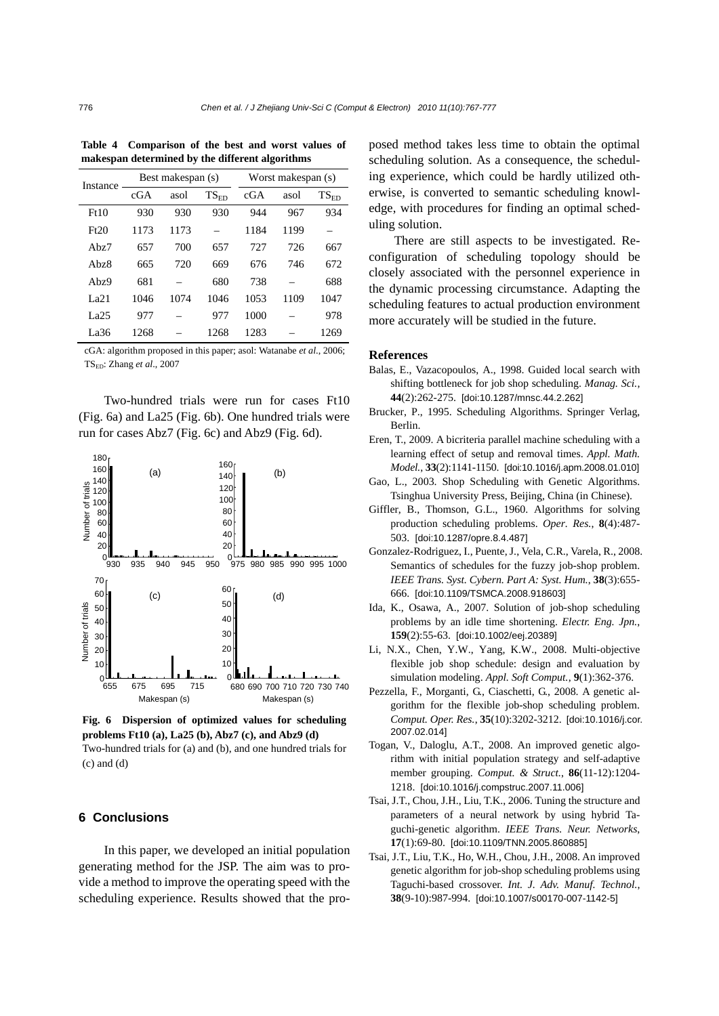**Table 4 Comparison of the best and worst values of makespan determined by the different algorithms** 

| Instance |      | Best makespan (s) |           | Worst makespan (s) |      |           |  |
|----------|------|-------------------|-----------|--------------------|------|-----------|--|
|          | cGA  | asol              | $TS_{ED}$ | cGA                | asol | $TS_{ED}$ |  |
| Ft10     | 930  | 930               | 930       | 944                | 967  | 934       |  |
| Ft20     | 1173 | 1173              |           | 1184               | 1199 |           |  |
| Abz7     | 657  | 700               | 657       | 727                | 726  | 667       |  |
| Ahz8     | 665  | 720               | 669       | 676                | 746  | 672       |  |
| Abz9     | 681  |                   | 680       | 738                |      | 688       |  |
| La21     | 1046 | 1074              | 1046      | 1053               | 1109 | 1047      |  |
| La25     | 977  |                   | 977       | 1000               |      | 978       |  |
| La $36$  | 1268 |                   | 1268      | 1283               |      | 1269      |  |

cGA: algorithm proposed in this paper; asol: Watanabe *et al*., 2006; TSED: Zhang *et al*., 2007

Two-hundred trials were run for cases Ft10 (Fig. 6a) and La25 (Fig. 6b). One hundred trials were run for cases Abz7 (Fig. 6c) and Abz9 (Fig. 6d).



**Fig. 6 Dispersion of optimized values for scheduling problems Ft10 (a), La25 (b), Abz7 (c), and Abz9 (d)**  Two-hundred trials for (a) and (b), and one hundred trials for (c) and (d)

# **6 Conclusions**

In this paper, we developed an initial population generating method for the JSP. The aim was to provide a method to improve the operating speed with the scheduling experience. Results showed that the proposed method takes less time to obtain the optimal scheduling solution. As a consequence, the scheduling experience, which could be hardly utilized otherwise, is converted to semantic scheduling knowledge, with procedures for finding an optimal scheduling solution.

There are still aspects to be investigated. Reconfiguration of scheduling topology should be closely associated with the personnel experience in the dynamic processing circumstance. Adapting the scheduling features to actual production environment more accurately will be studied in the future.

#### **References**

- Balas, E., Vazacopoulos, A., 1998. Guided local search with shifting bottleneck for job shop scheduling. *Manag. Sci.*, **44**(2):262-275. [doi:10.1287/mnsc.44.2.262]
- Brucker, P., 1995. Scheduling Algorithms. Springer Verlag, Berlin.
- Eren, T., 2009. A bicriteria parallel machine scheduling with a learning effect of setup and removal times. *Appl. Math. Model.*, **33**(2):1141-1150. [doi:10.1016/j.apm.2008.01.010]
- Gao, L., 2003. Shop Scheduling with Genetic Algorithms. Tsinghua University Press, Beijing, China (in Chinese).
- Giffler, B., Thomson, G.L., 1960. Algorithms for solving production scheduling problems. *Oper. Res.*, **8**(4):487- 503. [doi:10.1287/opre.8.4.487]
- Gonzalez-Rodriguez, I., Puente, J., Vela, C.R., Varela, R., 2008. Semantics of schedules for the fuzzy job-shop problem. *IEEE Trans. Syst. Cybern. Part A: Syst. Hum.*, **38**(3):655- 666. [doi:10.1109/TSMCA.2008.918603]
- Ida, K., Osawa, A., 2007. Solution of job-shop scheduling problems by an idle time shortening. *Electr. Eng. Jpn.*, **159**(2):55-63. [doi:10.1002/eej.20389]
- Li, N.X., Chen, Y.W., Yang, K.W., 2008. Multi-objective flexible job shop schedule: design and evaluation by simulation modeling. *Appl. Soft Comput.*, **9**(1):362-376.
- Pezzella, F., Morganti, G., Ciaschetti, G., 2008. A genetic algorithm for the flexible job-shop scheduling problem. *Comput. Oper. Res.*, **35**(10):3202-3212. [doi:10.1016/j.cor. 2007.02.014]
- Togan, V., Daloglu, A.T., 2008. An improved genetic algorithm with initial population strategy and self-adaptive member grouping. *Comput. & Struct.*, **86**(11-12):1204- 1218. [doi:10.1016/j.compstruc.2007.11.006]
- Tsai, J.T., Chou, J.H., Liu, T.K., 2006. Tuning the structure and parameters of a neural network by using hybrid Taguchi-genetic algorithm. *IEEE Trans. Neur. Networks*, **17**(1):69-80. [doi:10.1109/TNN.2005.860885]
- Tsai, J.T., Liu, T.K., Ho, W.H., Chou, J.H., 2008. An improved genetic algorithm for job-shop scheduling problems using Taguchi-based crossover. *Int. J. Adv. Manuf. Technol.*, **38**(9-10):987-994. [doi:10.1007/s00170-007-1142-5]